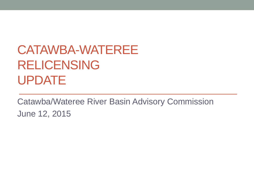## CATAWBA-WATEREE RELICENSING UPDATE

Catawba/Wateree River Basin Advisory Commission June 12, 2015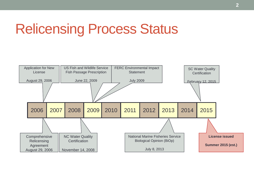## Relicensing Process Status

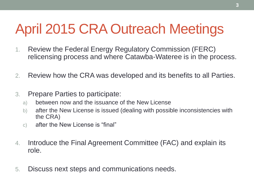# April 2015 CRA Outreach Meetings

- 1. Review the Federal Energy Regulatory Commission (FERC) relicensing process and where Catawba-Wateree is in the process.
- 2. Review how the CRA was developed and its benefits to all Parties.
- 3. Prepare Parties to participate:
	- a) between now and the issuance of the New License
	- b) after the New License is issued (dealing with possible inconsistencies with the CRA)
	- c) after the New License is "final"
- 4. Introduce the Final Agreement Committee (FAC) and explain its role.
- 5. Discuss next steps and communications needs.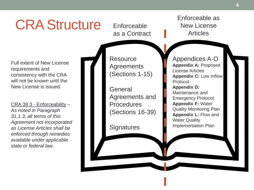## CRA Structure

**Enforceable** as a Contract

Full extent of New License requirements and consistency with the CRA will not be known until the New License is issued.

CRA 39.3 - Enforceability – *As noted in Paragraph 31.1.3, all terms of this Agreement not incorporated as License Articles shall be enforced through remedies available under applicable state or federal law.*



Enforceable as New License **Articles** 

**4**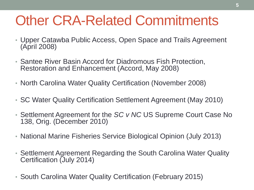## Other CRA-Related Commitments

- Upper Catawba Public Access, Open Space and Trails Agreement (April 2008)
- Santee River Basin Accord for Diadromous Fish Protection, Restoration and Enhancement (Accord, May 2008)
- North Carolina Water Quality Certification (November 2008)
- SC Water Quality Certification Settlement Agreement (May 2010)
- Settlement Agreement for the *SC v NC* US Supreme Court Case No 138, Orig. (December 2010)
- National Marine Fisheries Service Biological Opinion (July 2013)
- Settlement Agreement Regarding the South Carolina Water Quality Certification (July 2014)
- South Carolina Water Quality Certification (February 2015)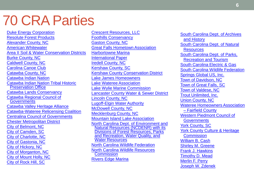#### 70 CRA Parties

[Duke Energy Corporation](cra_commitments_by_party.xlsx#) [Resolute Forest Products](cra_commitments_by_party.xlsx#) [Alexander County, NC](cra_commitments_by_party.xlsx#) [American Whitewater](cra_commitments_by_party.xlsx#) [Area II Soil & Water Conservation Districts](cra_commitments_by_party.xlsx#) [Burke County, NC](cra_commitments_by_party.xlsx#) [Caldwell County, NC](cra_commitments_by_party.xlsx#) [Carolina Canoe Club](cra_commitments_by_party.xlsx#) [Catawba County, NC](cra_commitments_by_party.xlsx#) [Catawba Indian Nation](cra_commitments_by_party.xlsx#) [Catawba Indian Nation Tribal Historic](cra_commitments_by_party.xlsx#)  Preservation Office [Catawba Lands Conservancy](cra_commitments_by_party.xlsx#) [Catawba Regional Council of](cra_commitments_by_party.xlsx#)  **Governments** [Catawba Valley Heritage Alliance](cra_commitments_by_party.xlsx#) [Catawba-Wateree Relicensing Coalition](cra_commitments_by_party.xlsx#) [Centralina Council of Governments](cra_commitments_by_party.xlsx#) [Chester Metropolitan District](cra_commitments_by_party.xlsx#) [City of Belmont, NC](cra_commitments_by_party.xlsx#) [City of Camden, SC](cra_commitments_by_party.xlsx#) [City of Charlotte, NC](cra_commitments_by_party.xlsx#) [City of Gastonia, NC](cra_commitments_by_party.xlsx#) [City of Hickory, NC](cra_commitments_by_party.xlsx#) [City of Morganton, NC](cra_commitments_by_party.xlsx#) [City of Mount Holly, NC](cra_commitments_by_party.xlsx#) [City of Rock Hill, SC](cra_commitments_by_party.xlsx#)

[Crescent Resources, LLC](cra_commitments_by_party.xlsx#) [Foothills Conservancy](cra_commitments_by_party.xlsx#) [Gaston County, NC](cra_commitments_by_party.xlsx#) [Great Falls Hometown Association](cra_commitments_by_party.xlsx#) [Harbortowne Marina](cra_commitments_by_party.xlsx#) [International Paper](cra_commitments_by_party.xlsx#) [Iredell County, NC](cra_commitments_by_party.xlsx#) [Kershaw County, SC](cra_commitments_by_party.xlsx#) [Kershaw County Conservation District](cra_commitments_by_party.xlsx#) [Lake James Homeowners](cra_commitments_by_party.xlsx#) [Lake Wateree Association](cra_commitments_by_party.xlsx#) [Lake Wylie Marine Commission](cra_commitments_by_party.xlsx#) [Lancaster County Water & Sewer District](cra_commitments_by_party.xlsx#)  [Lincoln County, NC](cra_commitments_by_party.xlsx#) [Lugoff-Elgin Water Authority](cra_commitments_by_party.xlsx#) [McDowell County, NC](cra_commitments_by_party.xlsx#) [Mecklenburg County, NC](cra_commitments_by_party.xlsx#) [Mountain Island Lake Association](cra_commitments_by_party.xlsx#) North Carolina Dept. of Environment and [Natural Resources \(NCDENR\) with its](cra_commitments_by_party.xlsx#)  Divisions of Forest Resources, Parks and Recreation, Water Quality, and Water Resources [North Carolina Wildlife Federation](cra_commitments_by_party.xlsx#) [North Carolina Wildlife Resources](cra_commitments_by_party.xlsx#)  **Commission** [Rivers Edge Marina](cra_commitments_by_party.xlsx#)

[South Carolina Dept. of Archives](cra_commitments_by_party.xlsx#) and History [South Carolina Dept. of Natural](cra_commitments_by_party.xlsx#)  **Resources** [South Carolina Dept. of Parks,](cra_commitments_by_party.xlsx#) Recreation and Tourism [South Carolina Electric & Gas](cra_commitments_by_party.xlsx#) [South Carolina Wildlife Federation](cra_commitments_by_party.xlsx#) [Springs Global US, Inc.](cra_commitments_by_party.xlsx#) [Town of Davidson, NC](cra_commitments_by_party.xlsx#) [Town of Great Falls, SC](cra_commitments_by_party.xlsx#) [Town of Valdese, NC](cra_commitments_by_party.xlsx#) [Trout Unlimited, Inc.](cra_commitments_by_party.xlsx#) [Union County, NC](cra_commitments_by_party.xlsx#) [Wateree Homeowners Association](cra_commitments_by_party.xlsx#)  – Fairfield County [Western Piedmont Council of](cra_commitments_by_party.xlsx#)  **Governments** [York County, SC](cra_commitments_by_party.xlsx#) York County Culture & Heritage **Commission** [William B. Cash](cra_commitments_by_party.xlsx#) [Shirley M. Greene](cra_commitments_by_party.xlsx#) [Frank J. Hawkins](cra_commitments_by_party.xlsx#) [Timothy D. Mead](cra_commitments_by_party.xlsx#) [Merlin F. Perry](cra_commitments_by_party.xlsx#) [Joseph W. Zdenek](cra_commitments_by_party.xlsx#)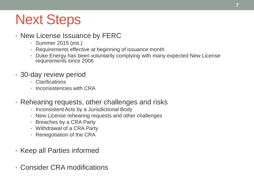## Next Steps

- New License Issuance by FERC
	- Summer 2015 (est.)
	- Requirements effective at beginning of issuance month
	- Duke Energy has been voluntarily complying with many expected New License requirements since 2006
- 30-day review period
	- Clarifications
	- Inconsistencies with CRA
- Rehearing requests, other challenges and risks
	- Inconsistent Acts by a Jurisdictional Body
	- New License rehearing requests and other challenges
	- Breaches by a CRA Party
	- Withdrawal of a CRA Party
	- Renegotiation of the CRA
- Keep all Parties informed
- Consider CRA modifications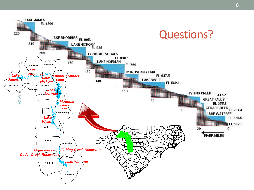

**8**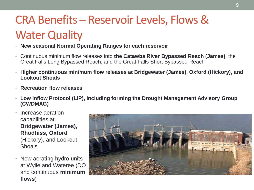#### CRA Benefits – Reservoir Levels, Flows & **Water Quality**

- **New seasonal Normal Operating Ranges for each reservoir**
- Continuous minimum flow releases into **the Catawba River Bypassed Reach (James)**, the Great Falls Long Bypassed Reach, and the Great Falls Short Bypassed Reach
- **Higher continuous minimum flow releases at Bridgewater (James), Oxford (Hickory), and Lookout Shoals**
- **Recreation flow releases**
- **Low Inflow Protocol (LIP), including forming the Drought Management Advisory Group (CWDMAG)**
- Increase aeration capabilities at **Bridgewater (James), Rhodhiss, Oxford**  (Hickory), and Lookout **Shoals**
- New aerating hydro units at Wylie and Wateree (DO and continuous **minimum flows**)

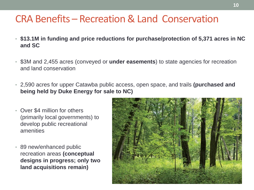#### CRA Benefits – Recreation & Land Conservation

- **\$13.1M in funding and price reductions for purchase/protection of 5,371 acres in NC and SC**
- \$3M and 2,455 acres (conveyed or **under easements**) to state agencies for recreation and land conservation
- 2,590 acres for upper Catawba public access, open space, and trails **(purchased and being held by Duke Energy for sale to NC)**
- Over \$4 million for others (primarily local governments) to develop public recreational amenities
- 89 new/enhanced public recreation areas **(conceptual designs in progress; only two land acquisitions remain)**